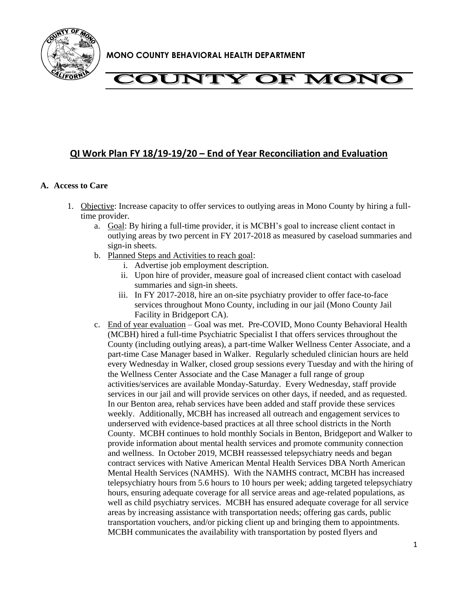

### **QI Work Plan FY 18/19-19/20 – End of Year Reconciliation and Evaluation**

### **A. Access to Care**

- 1. Objective: Increase capacity to offer services to outlying areas in Mono County by hiring a fulltime provider.
	- a. Goal: By hiring a full-time provider, it is MCBH's goal to increase client contact in outlying areas by two percent in FY 2017-2018 as measured by caseload summaries and sign-in sheets.
	- b. Planned Steps and Activities to reach goal:
		- i. Advertise job employment description.
		- ii. Upon hire of provider, measure goal of increased client contact with caseload summaries and sign-in sheets.
		- iii. In FY 2017-2018, hire an on-site psychiatry provider to offer face-to-face services throughout Mono County, including in our jail (Mono County Jail Facility in Bridgeport CA).
	- c. End of year evaluation Goal was met. Pre-COVID, Mono County Behavioral Health (MCBH) hired a full-time Psychiatric Specialist I that offers services throughout the County (including outlying areas), a part-time Walker Wellness Center Associate, and a part-time Case Manager based in Walker. Regularly scheduled clinician hours are held every Wednesday in Walker, closed group sessions every Tuesday and with the hiring of the Wellness Center Associate and the Case Manager a full range of group activities/services are available Monday-Saturday. Every Wednesday, staff provide services in our jail and will provide services on other days, if needed, and as requested. In our Benton area, rehab services have been added and staff provide these services weekly. Additionally, MCBH has increased all outreach and engagement services to underserved with evidence-based practices at all three school districts in the North County. MCBH continues to hold monthly Socials in Benton, Bridgeport and Walker to provide information about mental health services and promote community connection and wellness. In October 2019, MCBH reassessed telepsychiatry needs and began contract services with Native American Mental Health Services DBA North American Mental Health Services (NAMHS). With the NAMHS contract, MCBH has increased telepsychiatry hours from 5.6 hours to 10 hours per week; adding targeted telepsychiatry hours, ensuring adequate coverage for all service areas and age-related populations, as well as child psychiatry services. MCBH has ensured adequate coverage for all service areas by increasing assistance with transportation needs; offering gas cards, public transportation vouchers, and/or picking client up and bringing them to appointments. MCBH communicates the availability with transportation by posted flyers and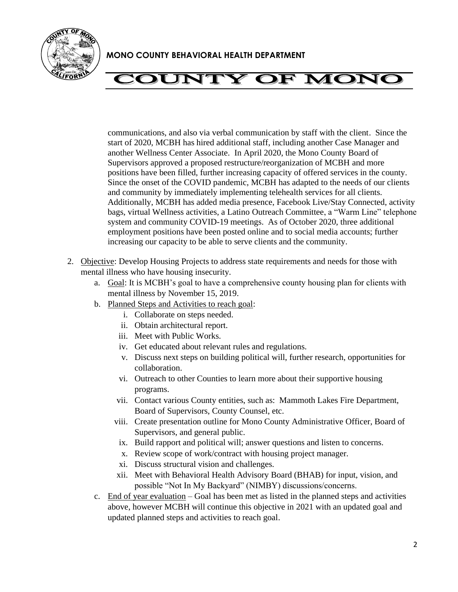

communications, and also via verbal communication by staff with the client. Since the start of 2020, MCBH has hired additional staff, including another Case Manager and another Wellness Center Associate. In April 2020, the Mono County Board of Supervisors approved a proposed restructure/reorganization of MCBH and more positions have been filled, further increasing capacity of offered services in the county. Since the onset of the COVID pandemic, MCBH has adapted to the needs of our clients and community by immediately implementing telehealth services for all clients. Additionally, MCBH has added media presence, Facebook Live/Stay Connected, activity bags, virtual Wellness activities, a Latino Outreach Committee, a "Warm Line" telephone system and community COVID-19 meetings. As of October 2020, three additional employment positions have been posted online and to social media accounts; further increasing our capacity to be able to serve clients and the community.

- 2. Objective: Develop Housing Projects to address state requirements and needs for those with mental illness who have housing insecurity.
	- a. Goal: It is MCBH's goal to have a comprehensive county housing plan for clients with mental illness by November 15, 2019.
	- b. Planned Steps and Activities to reach goal:
		- i. Collaborate on steps needed.
		- ii. Obtain architectural report.
		- iii. Meet with Public Works.
		- iv. Get educated about relevant rules and regulations.
		- v. Discuss next steps on building political will, further research, opportunities for collaboration.
		- vi. Outreach to other Counties to learn more about their supportive housing programs.
		- vii. Contact various County entities, such as: Mammoth Lakes Fire Department, Board of Supervisors, County Counsel, etc.
		- viii. Create presentation outline for Mono County Administrative Officer, Board of Supervisors, and general public.
		- ix. Build rapport and political will; answer questions and listen to concerns.
		- x. Review scope of work/contract with housing project manager.
		- xi. Discuss structural vision and challenges.
		- xii. Meet with Behavioral Health Advisory Board (BHAB) for input, vision, and possible "Not In My Backyard" (NIMBY) discussions/concerns.
	- c. End of year evaluation Goal has been met as listed in the planned steps and activities above, however MCBH will continue this objective in 2021 with an updated goal and updated planned steps and activities to reach goal.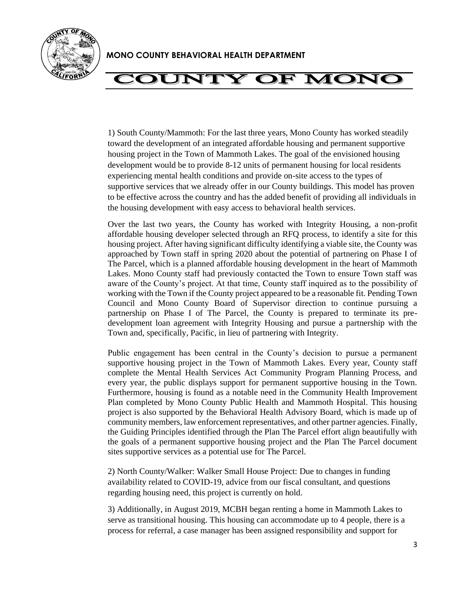

## **'OUNTY OF MONC**

1) South County/Mammoth: For the last three years, Mono County has worked steadily toward the development of an integrated affordable housing and permanent supportive housing project in the Town of Mammoth Lakes. The goal of the envisioned housing development would be to provide 8-12 units of permanent housing for local residents experiencing mental health conditions and provide on-site access to the types of supportive services that we already offer in our County buildings. This model has proven to be effective across the country and has the added benefit of providing all individuals in the housing development with easy access to behavioral health services.

Over the last two years, the County has worked with Integrity Housing, a non-profit affordable housing developer selected through an RFQ process, to identify a site for this housing project. After having significant difficulty identifying a viable site, the County was approached by Town staff in spring 2020 about the potential of partnering on Phase I of The Parcel, which is a planned affordable housing development in the heart of Mammoth Lakes. Mono County staff had previously contacted the Town to ensure Town staff was aware of the County's project. At that time, County staff inquired as to the possibility of working with the Town if the County project appeared to be a reasonable fit. Pending Town Council and Mono County Board of Supervisor direction to continue pursuing a partnership on Phase I of The Parcel, the County is prepared to terminate its predevelopment loan agreement with Integrity Housing and pursue a partnership with the Town and, specifically, Pacific, in lieu of partnering with Integrity.

Public engagement has been central in the County's decision to pursue a permanent supportive housing project in the Town of Mammoth Lakes. Every year, County staff complete the Mental Health Services Act Community Program Planning Process, and every year, the public displays support for permanent supportive housing in the Town. Furthermore, housing is found as a notable need in the Community Health Improvement Plan completed by Mono County Public Health and Mammoth Hospital. This housing project is also supported by the Behavioral Health Advisory Board, which is made up of community members, law enforcement representatives, and other partner agencies. Finally, the Guiding Principles identified through the Plan The Parcel effort align beautifully with the goals of a permanent supportive housing project and the Plan The Parcel document sites supportive services as a potential use for The Parcel.

2) North County/Walker: Walker Small House Project: Due to changes in funding availability related to COVID-19, advice from our fiscal consultant, and questions regarding housing need, this project is currently on hold.

3) Additionally, in August 2019, MCBH began renting a home in Mammoth Lakes to serve as transitional housing. This housing can accommodate up to 4 people, there is a process for referral, a case manager has been assigned responsibility and support for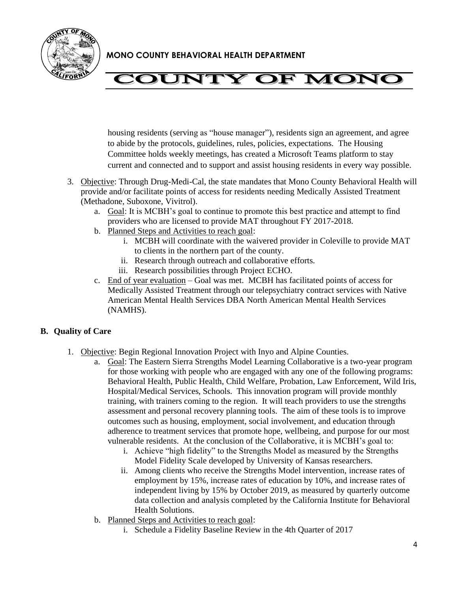

housing residents (serving as "house manager"), residents sign an agreement, and agree to abide by the protocols, guidelines, rules, policies, expectations. The Housing Committee holds weekly meetings, has created a Microsoft Teams platform to stay current and connected and to support and assist housing residents in every way possible.

- 3. Objective: Through Drug-Medi-Cal, the state mandates that Mono County Behavioral Health will provide and/or facilitate points of access for residents needing Medically Assisted Treatment (Methadone, Suboxone, Vivitrol).
	- a. Goal: It is MCBH's goal to continue to promote this best practice and attempt to find providers who are licensed to provide MAT throughout FY 2017-2018.
	- b. Planned Steps and Activities to reach goal:
		- i. MCBH will coordinate with the waivered provider in Coleville to provide MAT to clients in the northern part of the county.
		- ii. Research through outreach and collaborative efforts.
		- iii. Research possibilities through Project ECHO.
	- c. End of year evaluation Goal was met. MCBH has facilitated points of access for Medically Assisted Treatment through our telepsychiatry contract services with Native American Mental Health Services DBA North American Mental Health Services (NAMHS).

### **B. Quality of Care**

- 1. Objective: Begin Regional Innovation Project with Inyo and Alpine Counties.
	- a. Goal: The Eastern Sierra Strengths Model Learning Collaborative is a two-year program for those working with people who are engaged with any one of the following programs: Behavioral Health, Public Health, Child Welfare, Probation, Law Enforcement, Wild Iris, Hospital/Medical Services, Schools. This innovation program will provide monthly training, with trainers coming to the region. It will teach providers to use the strengths assessment and personal recovery planning tools. The aim of these tools is to improve outcomes such as housing, employment, social involvement, and education through adherence to treatment services that promote hope, wellbeing, and purpose for our most vulnerable residents. At the conclusion of the Collaborative, it is MCBH's goal to:
		- i. Achieve "high fidelity" to the Strengths Model as measured by the Strengths Model Fidelity Scale developed by University of Kansas researchers.
		- ii. Among clients who receive the Strengths Model intervention, increase rates of employment by 15%, increase rates of education by 10%, and increase rates of independent living by 15% by October 2019, as measured by quarterly outcome data collection and analysis completed by the California Institute for Behavioral Health Solutions.
	- b. Planned Steps and Activities to reach goal:
		- i. Schedule a Fidelity Baseline Review in the 4th Quarter of 2017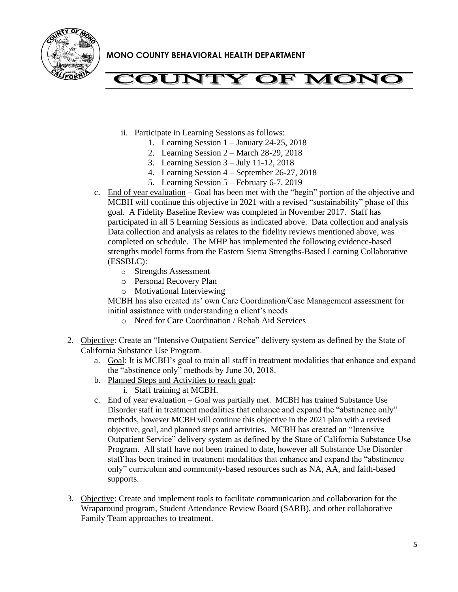



- ii. Participate in Learning Sessions as follows:
	- 1. Learning Session 1 January 24-25, 2018
	- 2. Learning Session 2 March 28-29, 2018
	- 3. Learning Session 3 July 11-12, 2018
	- 4. Learning Session 4 September 26-27, 2018
	- 5. Learning Session 5 February 6-7, 2019
- c. End of year evaluation Goal has been met with the "begin" portion of the objective and MCBH will continue this objective in 2021 with a revised "sustainability" phase of this goal. A Fidelity Baseline Review was completed in November 2017. Staff has participated in all 5 Learning Sessions as indicated above. Data collection and analysis Data collection and analysis as relates to the fidelity reviews mentioned above, was completed on schedule. The MHP has implemented the following evidence-based strengths model forms from the Eastern Sierra Strengths-Based Learning Collaborative (ESSBLC):
	- o Strengths Assessment
	- o Personal Recovery Plan
	- o Motivational Interviewing

MCBH has also created its' own Care Coordination/Case Management assessment for initial assistance with understanding a client's needs

- o Need for Care Coordination / Rehab Aid Services
- 2. Objective: Create an "Intensive Outpatient Service" delivery system as defined by the State of California Substance Use Program.
	- a. Goal: It is MCBH's goal to train all staff in treatment modalities that enhance and expand the "abstinence only" methods by June 30, 2018.
	- b. Planned Steps and Activities to reach goal:
		- i. Staff training at MCBH.
	- c. End of year evaluation Goal was partially met. MCBH has trained Substance Use Disorder staff in treatment modalities that enhance and expand the "abstinence only" methods, however MCBH will continue this objective in the 2021 plan with a revised objective, goal, and planned steps and activities. MCBH has created an "Intensive Outpatient Service" delivery system as defined by the State of California Substance Use Program. All staff have not been trained to date, however all Substance Use Disorder staff has been trained in treatment modalities that enhance and expand the "abstinence only" curriculum and community-based resources such as NA, AA, and faith-based supports.
- 3. Objective: Create and implement tools to facilitate communication and collaboration for the Wraparound program, Student Attendance Review Board (SARB), and other collaborative Family Team approaches to treatment.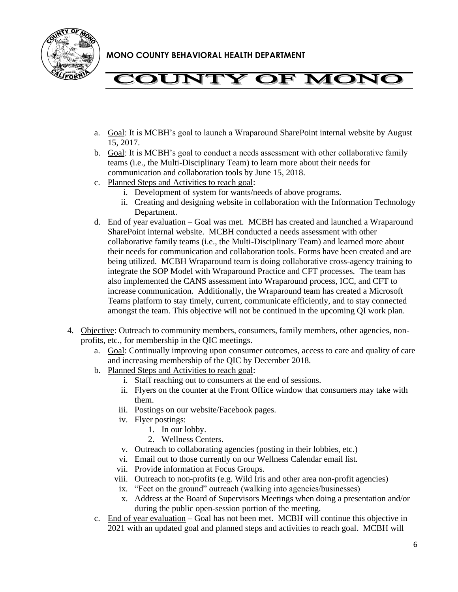

# **COUNTY OF MONO**

- a. Goal: It is MCBH's goal to launch a Wraparound SharePoint internal website by August 15, 2017.
- b. Goal: It is MCBH's goal to conduct a needs assessment with other collaborative family teams (i.e., the Multi-Disciplinary Team) to learn more about their needs for communication and collaboration tools by June 15, 2018.
- c. Planned Steps and Activities to reach goal:
	- i. Development of system for wants/needs of above programs.
	- ii. Creating and designing website in collaboration with the Information Technology Department.
- d. End of year evaluation Goal was met. MCBH has created and launched a Wraparound SharePoint internal website. MCBH conducted a needs assessment with other collaborative family teams (i.e., the Multi-Disciplinary Team) and learned more about their needs for communication and collaboration tools. Forms have been created and are being utilized. MCBH Wraparound team is doing collaborative cross-agency training to integrate the SOP Model with Wraparound Practice and CFT processes. The team has also implemented the CANS assessment into Wraparound process, ICC, and CFT to increase communication. Additionally, the Wraparound team has created a Microsoft Teams platform to stay timely, current, communicate efficiently, and to stay connected amongst the team. This objective will not be continued in the upcoming QI work plan.
- 4. Objective: Outreach to community members, consumers, family members, other agencies, nonprofits, etc., for membership in the QIC meetings.
	- a. Goal: Continually improving upon consumer outcomes, access to care and quality of care and increasing membership of the QIC by December 2018.
	- b. Planned Steps and Activities to reach goal:
		- i. Staff reaching out to consumers at the end of sessions.
		- ii. Flyers on the counter at the Front Office window that consumers may take with them.
		- iii. Postings on our website/Facebook pages.
		- iv. Flyer postings:
			- 1. In our lobby.
				- 2. Wellness Centers.
		- v. Outreach to collaborating agencies (posting in their lobbies, etc.)
		- vi. Email out to those currently on our Wellness Calendar email list.
		- vii. Provide information at Focus Groups.
		- viii. Outreach to non-profits (e.g. Wild Iris and other area non-profit agencies)
		- ix. "Feet on the ground" outreach (walking into agencies/businesses)
		- x. Address at the Board of Supervisors Meetings when doing a presentation and/or during the public open-session portion of the meeting.
	- c. End of year evaluation Goal has not been met. MCBH will continue this objective in 2021 with an updated goal and planned steps and activities to reach goal. MCBH will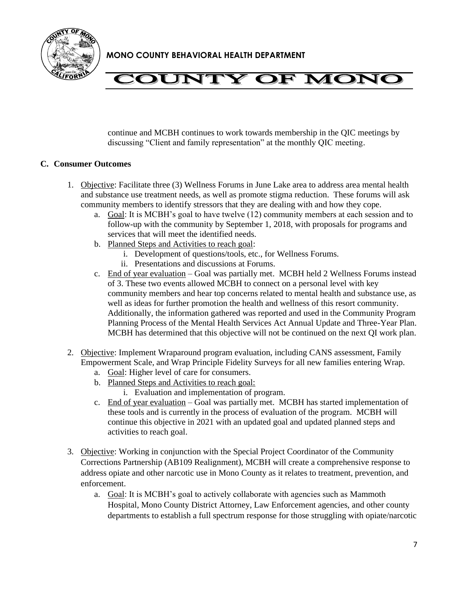

# **COUNTY OF MONO**

continue and MCBH continues to work towards membership in the QIC meetings by discussing "Client and family representation" at the monthly QIC meeting.

### **C. Consumer Outcomes**

- 1. Objective: Facilitate three (3) Wellness Forums in June Lake area to address area mental health and substance use treatment needs, as well as promote stigma reduction. These forums will ask community members to identify stressors that they are dealing with and how they cope.
	- a. Goal: It is MCBH's goal to have twelve (12) community members at each session and to follow-up with the community by September 1, 2018, with proposals for programs and services that will meet the identified needs.
	- b. Planned Steps and Activities to reach goal:
		- i. Development of questions/tools, etc., for Wellness Forums.
		- ii. Presentations and discussions at Forums.
	- c. End of year evaluation Goal was partially met. MCBH held 2 Wellness Forums instead of 3. These two events allowed MCBH to connect on a personal level with key community members and hear top concerns related to mental health and substance use, as well as ideas for further promotion the health and wellness of this resort community. Additionally, the information gathered was reported and used in the Community Program Planning Process of the Mental Health Services Act Annual Update and Three-Year Plan. MCBH has determined that this objective will not be continued on the next QI work plan.
- 2. Objective: Implement Wraparound program evaluation, including CANS assessment, Family Empowerment Scale, and Wrap Principle Fidelity Surveys for all new families entering Wrap.
	- a. Goal: Higher level of care for consumers.
	- b. Planned Steps and Activities to reach goal:
		- i. Evaluation and implementation of program.
	- c. End of year evaluation Goal was partially met. MCBH has started implementation of these tools and is currently in the process of evaluation of the program. MCBH will continue this objective in 2021 with an updated goal and updated planned steps and activities to reach goal.
- 3. Objective: Working in conjunction with the Special Project Coordinator of the Community Corrections Partnership (AB109 Realignment), MCBH will create a comprehensive response to address opiate and other narcotic use in Mono County as it relates to treatment, prevention, and enforcement.
	- a. Goal: It is MCBH's goal to actively collaborate with agencies such as Mammoth Hospital, Mono County District Attorney, Law Enforcement agencies, and other county departments to establish a full spectrum response for those struggling with opiate/narcotic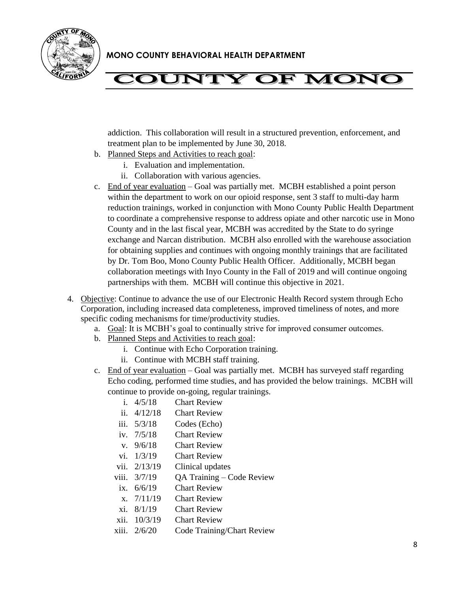

addiction. This collaboration will result in a structured prevention, enforcement, and treatment plan to be implemented by June 30, 2018.

- b. Planned Steps and Activities to reach goal:
	- i. Evaluation and implementation.
	- ii. Collaboration with various agencies.
- c. End of year evaluation Goal was partially met. MCBH established a point person within the department to work on our opioid response, sent 3 staff to multi-day harm reduction trainings, worked in conjunction with Mono County Public Health Department to coordinate a comprehensive response to address opiate and other narcotic use in Mono County and in the last fiscal year, MCBH was accredited by the State to do syringe exchange and Narcan distribution. MCBH also enrolled with the warehouse association for obtaining supplies and continues with ongoing monthly trainings that are facilitated by Dr. Tom Boo, Mono County Public Health Officer. Additionally, MCBH began collaboration meetings with Inyo County in the Fall of 2019 and will continue ongoing partnerships with them. MCBH will continue this objective in 2021.
- 4. Objective: Continue to advance the use of our Electronic Health Record system through Echo Corporation, including increased data completeness, improved timeliness of notes, and more specific coding mechanisms for time/productivity studies.
	- a. Goal: It is MCBH's goal to continually strive for improved consumer outcomes.
	- b. Planned Steps and Activities to reach goal:
		- i. Continue with Echo Corporation training.
		- ii. Continue with MCBH staff training.
	- c. End of year evaluation Goal was partially met. MCBH has surveyed staff regarding Echo coding, performed time studies, and has provided the below trainings. MCBH will continue to provide on-going, regular trainings.
		- i. 4/5/18 Chart Review
		- ii. 4/12/18 Chart Review
		- iii. 5/3/18 Codes (Echo)
		- iv. 7/5/18 Chart Review
		- v. 9/6/18 Chart Review
		- vi. 1/3/19 Chart Review
		- vii. 2/13/19 Clinical updates
		- viii. 3/7/19 QA Training Code Review
		- ix. 6/6/19 Chart Review
		- x. 7/11/19 Chart Review
		- xi. 8/1/19 Chart Review
		- xii. 10/3/19 Chart Review
		- xiii. 2/6/20 Code Training/Chart Review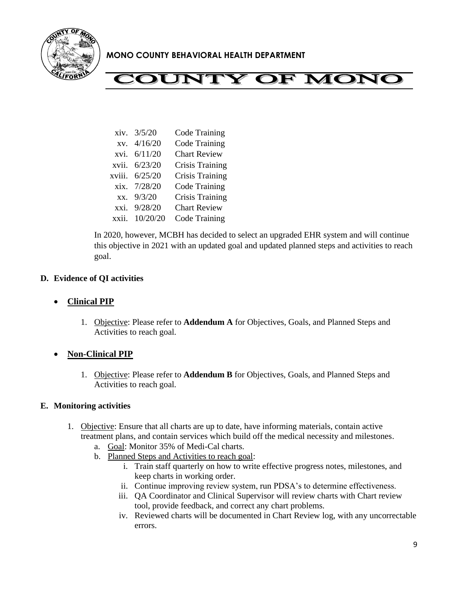



|        | xiv. 3/5/20  | Code Training          |
|--------|--------------|------------------------|
| XV.    | 4/16/20      | <b>Code Training</b>   |
| xvi.   | 6/11/20      | <b>Chart Review</b>    |
| xvii.  | 6/23/20      | <b>Crisis Training</b> |
| xviii. | 6/25/20      | <b>Crisis Training</b> |
|        | xix. 7/28/20 | Code Training          |
| XX.    | 9/3/20       | <b>Crisis Training</b> |
|        | xxi. 9/28/20 | <b>Chart Review</b>    |
| xxii.  | 10/20/20     | Code Training          |

In 2020, however, MCBH has decided to select an upgraded EHR system and will continue this objective in 2021 with an updated goal and updated planned steps and activities to reach goal.

### **D. Evidence of QI activities**

### • **Clinical PIP**

1. Objective: Please refer to **Addendum A** for Objectives, Goals, and Planned Steps and Activities to reach goal.

### • **Non-Clinical PIP**

1. Objective: Please refer to **Addendum B** for Objectives, Goals, and Planned Steps and Activities to reach goal.

#### **E. Monitoring activities**

- 1. Objective: Ensure that all charts are up to date, have informing materials, contain active treatment plans, and contain services which build off the medical necessity and milestones.
	- a. Goal: Monitor 35% of Medi-Cal charts.
	- b. Planned Steps and Activities to reach goal:
		- i. Train staff quarterly on how to write effective progress notes, milestones, and keep charts in working order.
		- ii. Continue improving review system, run PDSA's to determine effectiveness.
		- iii. QA Coordinator and Clinical Supervisor will review charts with Chart review tool, provide feedback, and correct any chart problems.
		- iv. Reviewed charts will be documented in Chart Review log, with any uncorrectable errors.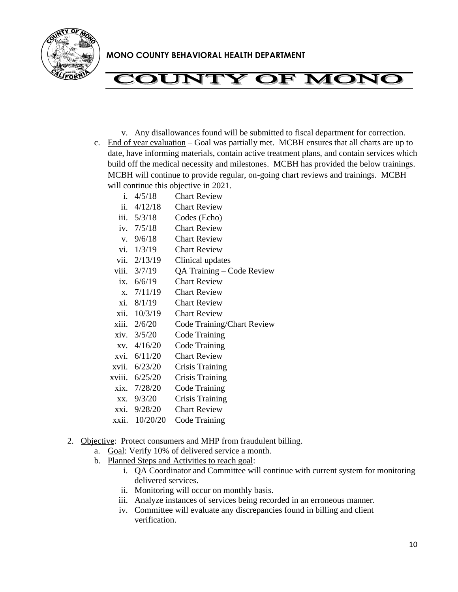



- v. Any disallowances found will be submitted to fiscal department for correction. c. End of year evaluation – Goal was partially met. MCBH ensures that all charts are up to date, have informing materials, contain active treatment plans, and contain services which build off the medical necessity and milestones. MCBH has provided the below trainings. MCBH will continue to provide regular, on-going chart reviews and trainings. MCBH will continue this objective in 2021.
	- i. 4/5/18 Chart Review
	- ii. 4/12/18 Chart Review
	- iii. 5/3/18 Codes (Echo)
	- iv. 7/5/18 Chart Review
	- v. 9/6/18 Chart Review
	- vi. 1/3/19 Chart Review
	- vii. 2/13/19 Clinical updates
	- viii. 3/7/19 QA Training Code Review
	- ix. 6/6/19 Chart Review
	- x. 7/11/19 Chart Review
	- xi. 8/1/19 Chart Review
	- xii. 10/3/19 Chart Review
	- xiii. 2/6/20 Code Training/Chart Review
	- xiv. 3/5/20 Code Training
	- xv. 4/16/20 Code Training
	- xvi. 6/11/20 Chart Review
	- xvii. 6/23/20 Crisis Training
	- xviii. 6/25/20 Crisis Training
	- xix. 7/28/20 Code Training
	- xx. 9/3/20 Crisis Training
	- xxi. 9/28/20 Chart Review
	- xxii. 10/20/20 Code Training
- 2. Objective: Protect consumers and MHP from fraudulent billing.
	- a. Goal: Verify 10% of delivered service a month.
	- b. Planned Steps and Activities to reach goal:
		- i. QA Coordinator and Committee will continue with current system for monitoring delivered services.
		- ii. Monitoring will occur on monthly basis.
		- iii. Analyze instances of services being recorded in an erroneous manner.
		- iv. Committee will evaluate any discrepancies found in billing and client verification.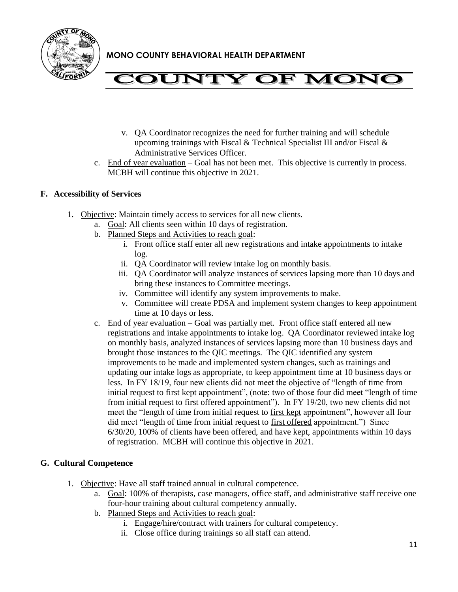



- v. QA Coordinator recognizes the need for further training and will schedule upcoming trainings with Fiscal & Technical Specialist III and/or Fiscal & Administrative Services Officer.
- c. End of year evaluation Goal has not been met. This objective is currently in process. MCBH will continue this objective in 2021.

#### **F. Accessibility of Services**

- 1. Objective: Maintain timely access to services for all new clients.
	- a. Goal: All clients seen within 10 days of registration.
	- b. Planned Steps and Activities to reach goal:
		- i. Front office staff enter all new registrations and intake appointments to intake log.
		- ii. QA Coordinator will review intake log on monthly basis.
		- iii. QA Coordinator will analyze instances of services lapsing more than 10 days and bring these instances to Committee meetings.
		- iv. Committee will identify any system improvements to make.
		- v. Committee will create PDSA and implement system changes to keep appointment time at 10 days or less.
	- c. End of year evaluation Goal was partially met. Front office staff entered all new registrations and intake appointments to intake log. QA Coordinator reviewed intake log on monthly basis, analyzed instances of services lapsing more than 10 business days and brought those instances to the QIC meetings. The QIC identified any system improvements to be made and implemented system changes, such as trainings and updating our intake logs as appropriate, to keep appointment time at 10 business days or less. In FY 18/19, four new clients did not meet the objective of "length of time from initial request to first kept appointment", (note: two of those four did meet "length of time from initial request to first offered appointment"). In FY 19/20, two new clients did not meet the "length of time from initial request to first kept appointment", however all four did meet "length of time from initial request to first offered appointment.") Since 6/30/20, 100% of clients have been offered, and have kept, appointments within 10 days of registration. MCBH will continue this objective in 2021.

### **G. Cultural Competence**

- 1. Objective: Have all staff trained annual in cultural competence.
	- a. Goal: 100% of therapists, case managers, office staff, and administrative staff receive one four-hour training about cultural competency annually.
	- b. Planned Steps and Activities to reach goal:
		- i. Engage/hire/contract with trainers for cultural competency.
		- ii. Close office during trainings so all staff can attend.